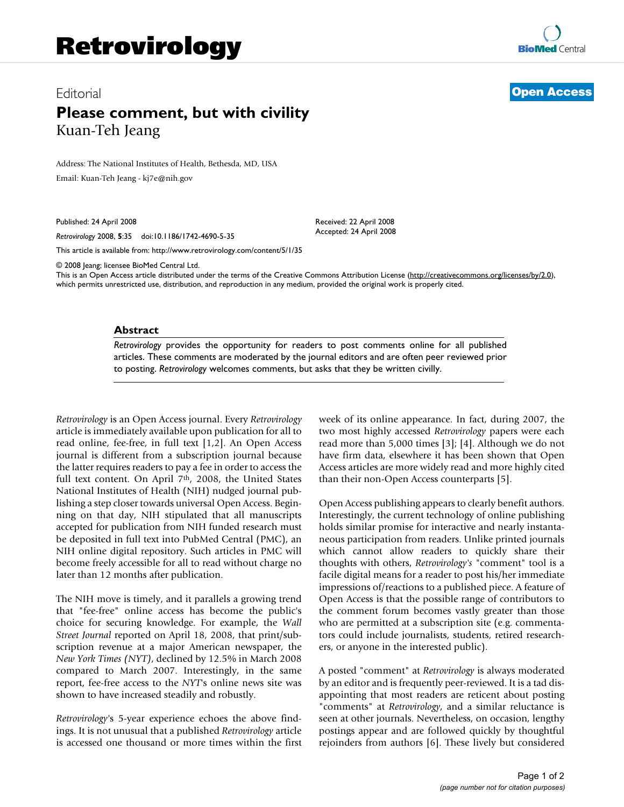# Editorial **[Open Access](http://www.biomedcentral.com/info/about/charter/) Please comment, but with civility** Kuan-Teh Jeang

Address: The National Institutes of Health, Bethesda, MD, USA Email: Kuan-Teh Jeang - kj7e@nih.gov

Published: 24 April 2008

*Retrovirology* 2008, **5**:35 doi:10.1186/1742-4690-5-35

[This article is available from: http://www.retrovirology.com/content/5/1/35](http://www.retrovirology.com/content/5/1/35)

© 2008 Jeang; licensee BioMed Central Ltd.

This is an Open Access article distributed under the terms of the Creative Commons Attribution License [\(http://creativecommons.org/licenses/by/2.0\)](http://creativecommons.org/licenses/by/2.0), which permits unrestricted use, distribution, and reproduction in any medium, provided the original work is properly cited.

Received: 22 April 2008 Accepted: 24 April 2008

### **Abstract**

*Retrovirology* provides the opportunity for readers to post comments online for all published articles. These comments are moderated by the journal editors and are often peer reviewed prior to posting. *Retrovirology* welcomes comments, but asks that they be written civilly.

*Retrovirology* is an Open Access journal. Every *Retrovirology* article is immediately available upon publication for all to read online, fee-free, in full text [1,2]. An Open Access journal is different from a subscription journal because the latter requires readers to pay a fee in order to access the full text content. On April 7<sup>th</sup>, 2008, the United States National Institutes of Health (NIH) nudged journal publishing a step closer towards universal Open Access. Beginning on that day, NIH stipulated that all manuscripts accepted for publication from NIH funded research must be deposited in full text into PubMed Central (PMC), an NIH online digital repository. Such articles in PMC will become freely accessible for all to read without charge no later than 12 months after publication.

The NIH move is timely, and it parallels a growing trend that "fee-free" online access has become the public's choice for securing knowledge. For example, the *Wall Street Journal* reported on April 18, 2008, that print/subscription revenue at a major American newspaper, the *New York Times (NYT)*, declined by 12.5% in March 2008 compared to March 2007. Interestingly, in the same report, fee-free access to the *NYT*'s online news site was shown to have increased steadily and robustly.

*Retrovirology'*s 5-year experience echoes the above findings. It is not unusual that a published *Retrovirology* article is accessed one thousand or more times within the first week of its online appearance. In fact, during 2007, the two most highly accessed *Retrovirology* papers were each read more than 5,000 times [3]; [4]. Although we do not have firm data, elsewhere it has been shown that Open Access articles are more widely read and more highly cited than their non-Open Access counterparts [5].

Open Access publishing appears to clearly benefit authors. Interestingly, the current technology of online publishing holds similar promise for interactive and nearly instantaneous participation from readers. Unlike printed journals which cannot allow readers to quickly share their thoughts with others, *Retrovirology's* "comment" tool is a facile digital means for a reader to post his/her immediate impressions of/reactions to a published piece. A feature of Open Access is that the possible range of contributors to the comment forum becomes vastly greater than those who are permitted at a subscription site (e.g. commentators could include journalists, students, retired researchers, or anyone in the interested public).

A posted "comment" at *Retrovirology* is always moderated by an editor and is frequently peer-reviewed. It is a tad disappointing that most readers are reticent about posting "comments" at *Retrovirology*, and a similar reluctance is seen at other journals. Nevertheless, on occasion, lengthy postings appear and are followed quickly by thoughtful rejoinders from authors [6]. These lively but considered